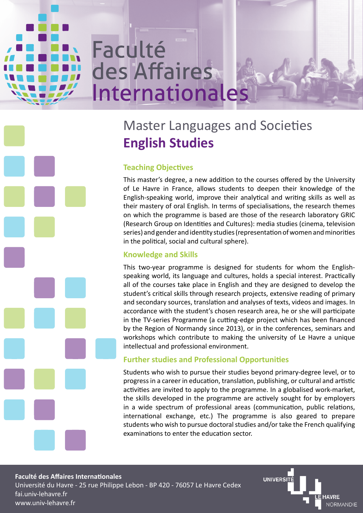# Faculté des Affaires Internationales

# Master Languages and Societies **English Studies**

# **Teaching Objectives**

This master's degree, a new addition to the courses offered by the University of Le Havre in France, allows students to deepen their knowledge of the English-speaking world, improve their analytical and writing skills as well as their mastery of oral English. In terms of specialisations, the research themes on which the programme is based are those of the research laboratory GRIC (Research Group on Identities and Cultures): media studies (cinema, television series) and gender and identity studies (representation of women and minorities in the political, social and cultural sphere).

## **Knowledge and Skills**

This two-year programme is designed for students for whom the Englishspeaking world, its language and cultures, holds a special interest. Practically all of the courses take place in English and they are designed to develop the student's critical skills through research projects, extensive reading of primary and secondary sources, translation and analyses of texts, videos and images. In accordance with the student's chosen research area, he or she will participate in the TV-series Programme (a cutting-edge project which has been financed by the Region of Normandy since 2013), or in the conferences, seminars and workshops which contribute to making the university of Le Havre a unique intellectual and professional environment.

### **Further studies and Professional Opportunities**

Students who wish to pursue their studies beyond primary-degree level, or to progress in a career in education, translation, publishing, or cultural and artistic activities are invited to apply to the programme. In a globalised work-market, the skills developed in the programme are actively sought for by employers in a wide spectrum of professional areas (communication, public relations, international exchange, etc.) The programme is also geared to prepare students who wish to pursue doctoral studies and/or take the French qualifying examinations to enter the education sector.

**Faculté des Affaires Internationales** Université du Havre - 25 rue Philippe Lebon - BP 420 - 76057 Le Havre Cedex fai.univ-lehavre.fr www.univ-lehavre.fr

UNIVERSIT **HAVRE NORMANDIE**